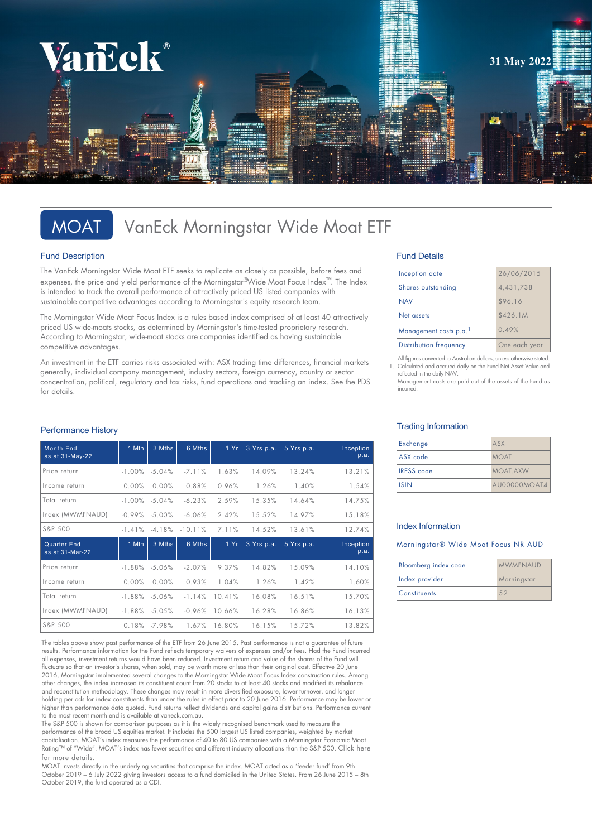

# MOAT VanEck Morningstar Wide Moat ETF

### Fund Description

The VanEck Morningstar Wide Moat ETF seeks to replicate as closely as possible, before fees and expenses, the price and yield performance of the Morningstar®Wide Moat Focus Index™. The Index is intended to track the overall performance of attractively priced US listed companies with sustainable competitive advantages according to Morningstar's equity research team.

The Morningstar Wide Moat Focus Index is a rules based index comprised of at least 40 attractively priced US wide-moats stocks, as determined by Morningstar's time-tested proprietary research. According to Morningstar, wide-moat stocks are companies identified as having sustainable competitive advantages.

An investment in the ETF carries risks associated with: ASX trading time differences, financial markets generally, individual company management, industry sectors, foreign currency, country or sector concentration, political, regulatory and tax risks, fund operations and tracking an index. See the PDS for details.

### Performance History

| <b>Month End</b><br>as at 31-May-22   | 1 Mth     | 3 Mths    | 6 Mths    | 1 Yr   | 3 Yrs p.a. | 5 Yrs p.a. | Inception<br>p.a. |
|---------------------------------------|-----------|-----------|-----------|--------|------------|------------|-------------------|
| Price return                          | $-1.00\%$ | $-5.04%$  | $-7.11%$  | 1.63%  | 14.09%     | 13.24%     | 13.21%            |
| Income return                         | 0.00%     | 0.00%     | 0.88%     | 0.96%  | 1.26%      | 1.40%      | 1.54%             |
| Total return                          | $-1.00\%$ | $-5.04\%$ | $-6.23%$  | 2.59%  | 15.35%     | 14.64%     | 14.75%            |
| Index (MWMFNAUD)                      | $-0.99%$  | $-5.00\%$ | $-6.06\%$ | 2.42%  | 15.52%     | 14.97%     | 15.18%            |
| S&P 500                               | $-1.41%$  | $-4.18%$  | $-10.11%$ | 7.11%  | 14.52%     | 13.61%     | 12.74%            |
| <b>Quarter End</b><br>as at 31-Mar-22 | 1 Mth     | 3 Mths    | 6 Mths    | 1Yr    | 3 Yrs p.a. | 5 Yrs p.a. | Inception<br>p.a. |
| Price return                          | $-1.88\%$ | $-5.06%$  | $-2.07%$  | 9.37%  | 14.82%     | 15.09%     | 14.10%            |
| Income return                         | 0.00%     | 0.00%     | 0.93%     | 1.04%  | 1.26%      | 1.42%      | 1.60%             |
| Total return                          | $-1.88%$  | $-5.06%$  | $-1.14%$  | 10.41% | 16.08%     | 16.51%     | 15.70%            |
| Index (MWMFNAUD)                      | $-1.88%$  | $-5.05\%$ | $-0.96%$  | 10.66% | 16.28%     | 16.86%     | 16.13%            |
| S&P 500                               | 0.18%     | $-7.98%$  | 1.67%     | 16.80% | 16.15%     | 15.72%     | 13.82%            |

The tables above show past performance of the ETF from 26 June 2015. Past performance is not a guarantee of future results. Performance information for the Fund reflects temporary waivers of expenses and/or fees. Had the Fund incurred all expenses, investment returns would have been reduced. Investment return and value of the shares of the Fund will fluctuate so that an investor's shares, when sold, may be worth more or less than their original cost. Effective 20 June 2016, Morningstar implemented several changes to the Morningstar Wide Moat Focus Index construction rules. Among other changes, the index increased its constituent count from 20 stocks to at least 40 stocks and modified its rebalance and reconstitution methodology. These changes may result in more diversified exposure, lower turnover, and longer holding periods for index constituents than under the rules in effect prior to 20 June 2016. Performance may be lower or higher than performance data quoted. Fund returns reflect dividends and capital gains distributions. Performance current to the most recent month end is available at vaneck.com.au.

The S&P 500 is shown for comparison purposes as it is the widely recognised benchmark used to measure the performance of the broad US equities market. It includes the 500 largest US listed companies, weighted by market capitalisation. MOAT's index measures the performance of 40 to 80 US companies with a Morningstar Economic Moat [Rating™ of "Wide". MOAT's index has fewer securities and different industry allocations than the S&P 500.](https://www.vaneck.com.au/etf/equity/moat/index/) Click here for more details.

MOAT invests directly in the underlying securities that comprise the index. MOAT acted as a 'feeder fund' from 9th October 2019 – 6 July 2022 giving investors access to a fund domiciled in the United States. From 26 June 2015 – 8th October 2019, the fund operated as a CDI.

### Fund Details

| Inception date                | 26/06/2015    |  |
|-------------------------------|---------------|--|
| Shares outstanding            | 4,431,738     |  |
| <b>NAV</b>                    | \$96.16       |  |
| Net assets                    | \$426.1M      |  |
| Management costs p.a.         | 0.49%         |  |
| <b>Distribution frequency</b> | One each year |  |

All figures converted to Australian dollars, unless otherwise stated. 1. Calculated and accrued daily on the Fund Net Asset Value and reflected in the daily NAV.

Management costs are paid out of the assets of the Fund as incurred.

### Trading Information

| Exchange          | ASX          |
|-------------------|--------------|
| ASX code          | <b>MOAT</b>  |
| <b>IRESS</b> code | MOAT AXW     |
| <b>ISIN</b>       | AU00000MOAT4 |

### Index Information

### Morningstar® Wide Moat Focus NR AUD

| Bloomberg index code | <b>MWMFNAUD</b> |  |
|----------------------|-----------------|--|
| Index provider       | Morningstar     |  |
| <b>Constituents</b>  | 52              |  |